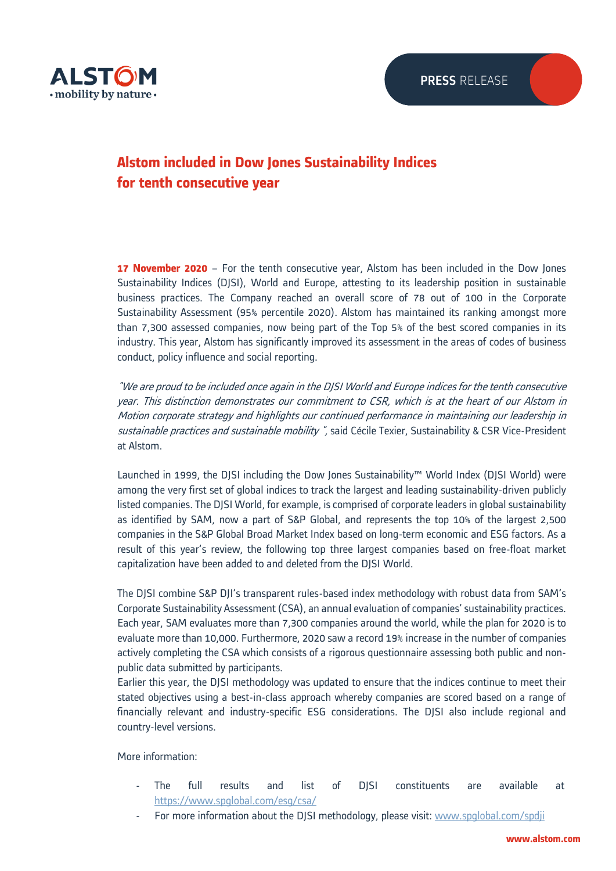

## **Alstom included in Dow Jones Sustainability Indices for tenth consecutive year**

**17 November 2020** – For the tenth consecutive year, Alstom has been included in the Dow Jones Sustainability Indices (DJSI), World and Europe, attesting to its leadership position in sustainable business practices. The Company reached an overall score of 78 out of 100 in the Corporate Sustainability Assessment (95% percentile 2020). Alstom has maintained its ranking amongst more than 7,300 assessed companies, now being part of the Top 5% of the best scored companies in its industry. This year, Alstom has significantly improved its assessment in the areas of codes of business conduct, policy influence and social reporting.

"We are proud to be included once again in the DJSI World and Europe indices for the tenth consecutive year. This distinction demonstrates our commitment to CSR, which is at the heart of our Alstom in Motion corporate strategy and highlights our continued performance in maintaining our leadership in sustainable practices and sustainable mobility", said Cécile Texier, Sustainability & CSR Vice-President at Alstom.

Launched in 1999, the DJSI including the Dow Jones Sustainability™ World Index (DJSI World) were among the very first set of global indices to track the largest and leading sustainability-driven publicly listed companies. The DJSI World, for example, is comprised of corporate leaders in global sustainability as identified by SAM, now a part of S&P Global, and represents the top 10% of the largest 2,500 companies in the S&P Global Broad Market Index based on long-term economic and ESG factors. As a result of this year's review, the following top three largest companies based on free-float market capitalization have been added to and deleted from the DJSI World.

The DJSI combine S&P DJI's transparent rules-based index methodology with robust data from SAM's Corporate Sustainability Assessment (CSA), an annual evaluation of companies' sustainability practices. Each year, SAM evaluates more than 7,300 companies around the world, while the plan for 2020 is to evaluate more than 10,000. Furthermore, 2020 saw a record 19% increase in the number of companies actively completing the CSA which consists of a rigorous questionnaire assessing both public and nonpublic data submitted by participants.

Earlier this year, the DJSI methodology was updated to ensure that the indices continue to meet their stated objectives using a best-in-class approach whereby companies are scored based on a range of financially relevant and industry-specific ESG considerations. The DJSI also include regional and country-level versions.

More information:

- The full results and list of DJSI constituents are available at <https://www.spglobal.com/esg/csa/>
- For more information about the DJSI methodology, please visit: [www.spglobal.com/spdji](http://www.spglobal.com/spdji)